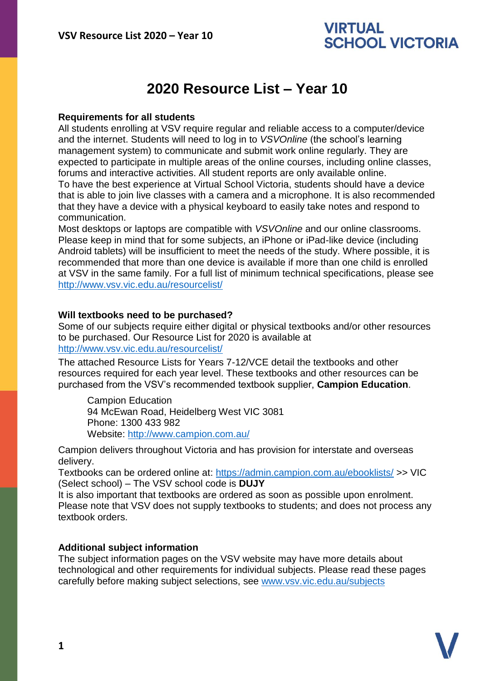## **VIRTUAL SCHOOL VICTORIA**

# **2020 Resource List – Year 10**

#### **Requirements for all students**

All students enrolling at VSV require regular and reliable access to a computer/device and the internet. Students will need to log in to *VSVOnline* (the school's learning management system) to communicate and submit work online regularly. They are expected to participate in multiple areas of the online courses, including online classes, forums and interactive activities. All student reports are only available online. To have the best experience at Virtual School Victoria, students should have a device that is able to join live classes with a camera and a microphone. It is also recommended that they have a device with a physical keyboard to easily take notes and respond to communication.

Most desktops or laptops are compatible with *VSVOnline* and our online classrooms. Please keep in mind that for some subjects, an iPhone or iPad-like device (including Android tablets) will be insufficient to meet the needs of the study. Where possible, it is recommended that more than one device is available if more than one child is enrolled at VSV in the same family. For a full list of minimum technical specifications, please see <http://www.vsv.vic.edu.au/resourcelist/>

#### **Will textbooks need to be purchased?**

Some of our subjects require either digital or physical textbooks and/or other resources to be purchased. Our Resource List for 2020 is available at [http://www.vsv.vic.edu.au/resourcelist/](http://www.vsv.vic.edu.au/resourcelist/%0d)

The attached Resource Lists for Years 7-12/VCE detail the textbooks and other resources required for each year level. These textbooks and other resources can be purchased from the VSV's recommended textbook supplier, **Campion Education**.

Campion Education 94 McEwan Road, Heidelberg West VIC 3081 Phone: 1300 433 982 Website:<http://www.campion.com.au/>

Campion delivers throughout Victoria and has provision for interstate and overseas delivery.

Textbooks can be ordered online at:<https://admin.campion.com.au/ebooklists/> >> VIC (Select school) – The VSV school code is **DUJY**

It is also important that textbooks are ordered as soon as possible upon enrolment. Please note that VSV does not supply textbooks to students; and does not process any textbook orders.

### **Additional subject information**

The subject information pages on the VSV website may have more details about technological and other requirements for individual subjects. Please read these pages carefully before making subject selections, see [www.vsv.vic.edu.au/subjects](http://www.vsv.vic.edu.au/subjects%0d)